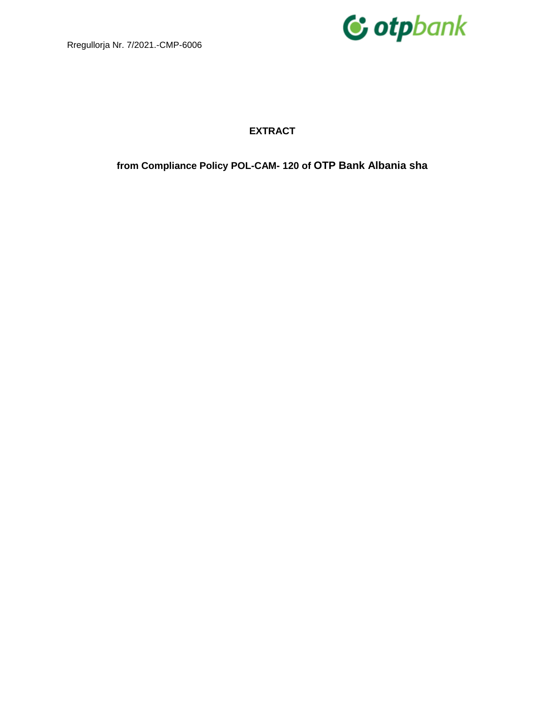

### **EXTRACT**

**from Compliance Policy POL-CAM- 120 of OTP Bank Albania sha**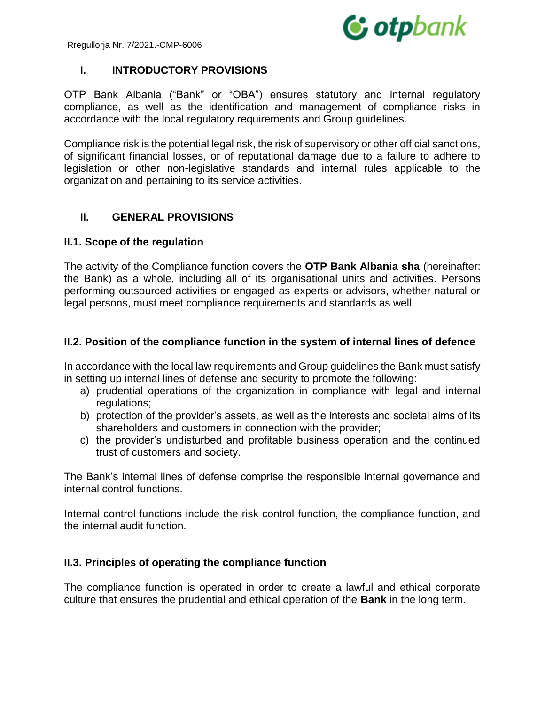

# **I. INTRODUCTORY PROVISIONS**

OTP Bank Albania ("Bank" or "OBA") ensures statutory and internal regulatory compliance, as well as the identification and management of compliance risks in accordance with the local regulatory requirements and Group guidelines.

Compliance risk is the potential legal risk, the risk of supervisory or other official sanctions, of significant financial losses, or of reputational damage due to a failure to adhere to legislation or other non-legislative standards and internal rules applicable to the organization and pertaining to its service activities.

# **II. GENERAL PROVISIONS**

# **II.1. Scope of the regulation**

The activity of the Compliance function covers the **OTP Bank Albania sha** (hereinafter: the Bank) as a whole, including all of its organisational units and activities. Persons performing outsourced activities or engaged as experts or advisors, whether natural or legal persons, must meet compliance requirements and standards as well.

# **II.2. Position of the compliance function in the system of internal lines of defence**

In accordance with the local law requirements and Group guidelines the Bank must satisfy in setting up internal lines of defense and security to promote the following:

- a) prudential operations of the organization in compliance with legal and internal regulations;
- b) protection of the provider's assets, as well as the interests and societal aims of its shareholders and customers in connection with the provider;
- c) the provider's undisturbed and profitable business operation and the continued trust of customers and society.

The Bank's internal lines of defense comprise the responsible internal governance and internal control functions.

Internal control functions include the risk control function, the compliance function, and the internal audit function.

### **II.3. Principles of operating the compliance function**

The compliance function is operated in order to create a lawful and ethical corporate culture that ensures the prudential and ethical operation of the **Bank** in the long term.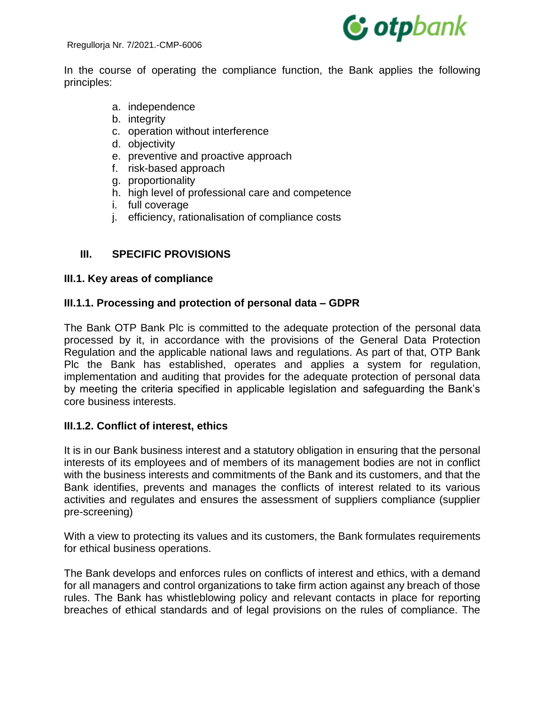

In the course of operating the compliance function, the Bank applies the following principles:

- a. independence
- b. integrity
- c. operation without interference
- d. objectivity
- e. preventive and proactive approach
- f. risk-based approach
- g. proportionality
- h. high level of professional care and competence
- i. full coverage
- j. efficiency, rationalisation of compliance costs

# **III. SPECIFIC PROVISIONS**

### **III.1. Key areas of compliance**

### **III.1.1. Processing and protection of personal data – GDPR**

The Bank OTP Bank Plc is committed to the adequate protection of the personal data processed by it, in accordance with the provisions of the General Data Protection Regulation and the applicable national laws and regulations. As part of that, OTP Bank Plc the Bank has established, operates and applies a system for regulation, implementation and auditing that provides for the adequate protection of personal data by meeting the criteria specified in applicable legislation and safeguarding the Bank's core business interests.

### **III.1.2. Conflict of interest, ethics**

It is in our Bank business interest and a statutory obligation in ensuring that the personal interests of its employees and of members of its management bodies are not in conflict with the business interests and commitments of the Bank and its customers, and that the Bank identifies, prevents and manages the conflicts of interest related to its various activities and regulates and ensures the assessment of suppliers compliance (supplier pre-screening)

With a view to protecting its values and its customers, the Bank formulates requirements for ethical business operations.

The Bank develops and enforces rules on conflicts of interest and ethics, with a demand for all managers and control organizations to take firm action against any breach of those rules. The Bank has whistleblowing policy and relevant contacts in place for reporting breaches of ethical standards and of legal provisions on the rules of compliance. The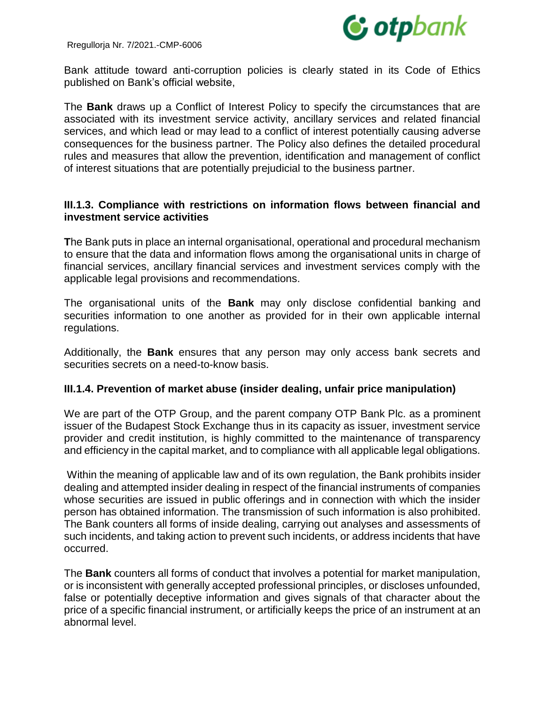

Bank attitude toward anti-corruption policies is clearly stated in its Code of Ethics published on Bank's official website,

The **Bank** draws up a Conflict of Interest Policy to specify the circumstances that are associated with its investment service activity, ancillary services and related financial services, and which lead or may lead to a conflict of interest potentially causing adverse consequences for the business partner. The Policy also defines the detailed procedural rules and measures that allow the prevention, identification and management of conflict of interest situations that are potentially prejudicial to the business partner.

### **III.1.3. Compliance with restrictions on information flows between financial and investment service activities**

**T**he Bank puts in place an internal organisational, operational and procedural mechanism to ensure that the data and information flows among the organisational units in charge of financial services, ancillary financial services and investment services comply with the applicable legal provisions and recommendations.

The organisational units of the **Bank** may only disclose confidential banking and securities information to one another as provided for in their own applicable internal regulations.

Additionally, the **Bank** ensures that any person may only access bank secrets and securities secrets on a need-to-know basis.

### **III.1.4. Prevention of market abuse (insider dealing, unfair price manipulation)**

We are part of the OTP Group, and the parent company OTP Bank Plc. as a prominent issuer of the Budapest Stock Exchange thus in its capacity as issuer, investment service provider and credit institution, is highly committed to the maintenance of transparency and efficiency in the capital market, and to compliance with all applicable legal obligations.

Within the meaning of applicable law and of its own regulation, the Bank prohibits insider dealing and attempted insider dealing in respect of the financial instruments of companies whose securities are issued in public offerings and in connection with which the insider person has obtained information. The transmission of such information is also prohibited. The Bank counters all forms of inside dealing, carrying out analyses and assessments of such incidents, and taking action to prevent such incidents, or address incidents that have occurred.

The **Bank** counters all forms of conduct that involves a potential for market manipulation, or is inconsistent with generally accepted professional principles, or discloses unfounded, false or potentially deceptive information and gives signals of that character about the price of a specific financial instrument, or artificially keeps the price of an instrument at an abnormal level.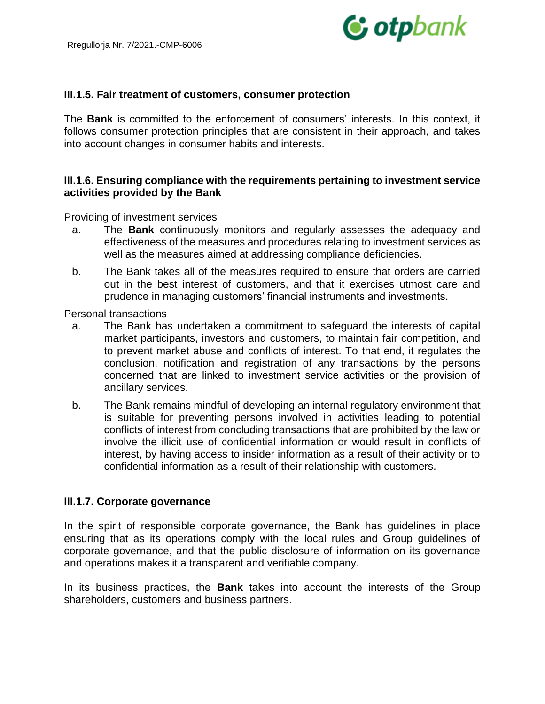

#### **III.1.5. Fair treatment of customers, consumer protection**

The **Bank** is committed to the enforcement of consumers' interests. In this context, it follows consumer protection principles that are consistent in their approach, and takes into account changes in consumer habits and interests.

#### **III.1.6. Ensuring compliance with the requirements pertaining to investment service activities provided by the Bank**

Providing of investment services

- a. The **Bank** continuously monitors and regularly assesses the adequacy and effectiveness of the measures and procedures relating to investment services as well as the measures aimed at addressing compliance deficiencies.
- b. The Bank takes all of the measures required to ensure that orders are carried out in the best interest of customers, and that it exercises utmost care and prudence in managing customers' financial instruments and investments.

Personal transactions

- a. The Bank has undertaken a commitment to safeguard the interests of capital market participants, investors and customers, to maintain fair competition, and to prevent market abuse and conflicts of interest. To that end, it regulates the conclusion, notification and registration of any transactions by the persons concerned that are linked to investment service activities or the provision of ancillary services.
- b. The Bank remains mindful of developing an internal regulatory environment that is suitable for preventing persons involved in activities leading to potential conflicts of interest from concluding transactions that are prohibited by the law or involve the illicit use of confidential information or would result in conflicts of interest, by having access to insider information as a result of their activity or to confidential information as a result of their relationship with customers.

#### **III.1.7. Corporate governance**

In the spirit of responsible corporate governance, the Bank has guidelines in place ensuring that as its operations comply with the local rules and Group guidelines of corporate governance, and that the public disclosure of information on its governance and operations makes it a transparent and verifiable company.

In its business practices, the **Bank** takes into account the interests of the Group shareholders, customers and business partners.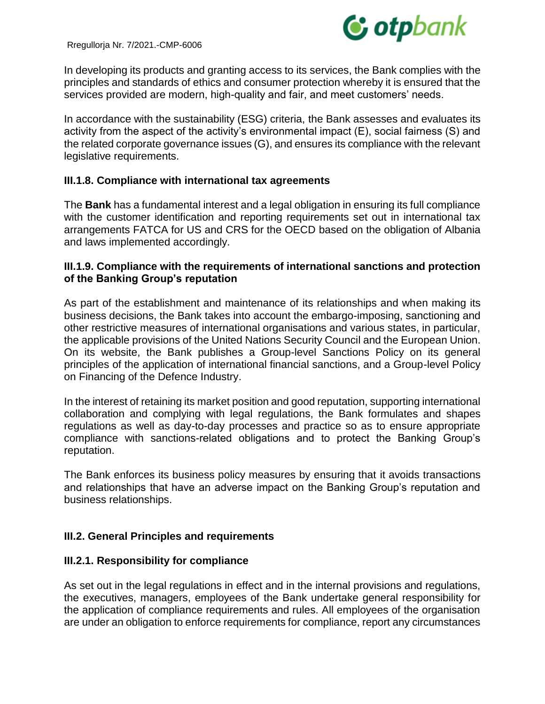

In developing its products and granting access to its services, the Bank complies with the principles and standards of ethics and consumer protection whereby it is ensured that the services provided are modern, high-quality and fair, and meet customers' needs.

In accordance with the sustainability (ESG) criteria, the Bank assesses and evaluates its activity from the aspect of the activity's environmental impact (E), social fairness (S) and the related corporate governance issues (G), and ensures its compliance with the relevant legislative requirements.

### **III.1.8. Compliance with international tax agreements**

The **Bank** has a fundamental interest and a legal obligation in ensuring its full compliance with the customer identification and reporting requirements set out in international tax arrangements FATCA for US and CRS for the OECD based on the obligation of Albania and laws implemented accordingly.

### **III.1.9. Compliance with the requirements of international sanctions and protection of the Banking Group's reputation**

As part of the establishment and maintenance of its relationships and when making its business decisions, the Bank takes into account the embargo-imposing, sanctioning and other restrictive measures of international organisations and various states, in particular, the applicable provisions of the United Nations Security Council and the European Union. On its website, the Bank publishes a Group-level Sanctions Policy on its general principles of the application of international financial sanctions, and a Group-level Policy on Financing of the Defence Industry.

In the interest of retaining its market position and good reputation, supporting international collaboration and complying with legal regulations, the Bank formulates and shapes regulations as well as day-to-day processes and practice so as to ensure appropriate compliance with sanctions-related obligations and to protect the Banking Group's reputation.

The Bank enforces its business policy measures by ensuring that it avoids transactions and relationships that have an adverse impact on the Banking Group's reputation and business relationships.

### **III.2. General Principles and requirements**

### **III.2.1. Responsibility for compliance**

As set out in the legal regulations in effect and in the internal provisions and regulations, the executives, managers, employees of the Bank undertake general responsibility for the application of compliance requirements and rules. All employees of the organisation are under an obligation to enforce requirements for compliance, report any circumstances